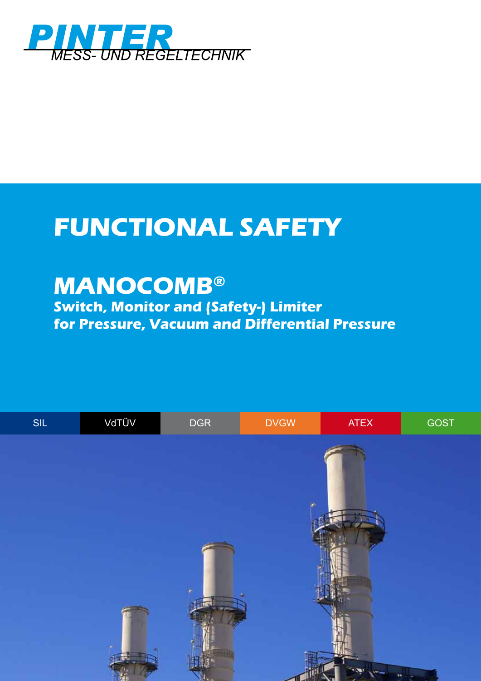

## **FUNCTIONAL SAFETY**

## **MANOCOMB®**

**Switch, Monitor and (Safety-) Limiter for Pressure, Vacuum and Differential Pressure**

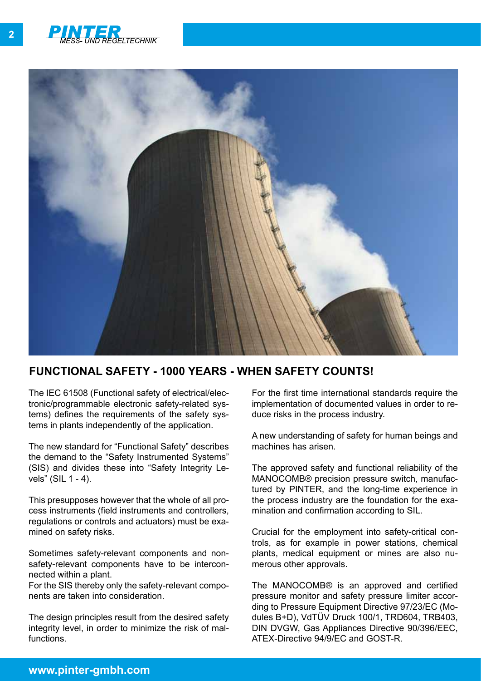



## **FUNCTIONAL SAFETY - 1000 YEARS - wHEN SAFETY COUNTS!**

The IEC 61508 (Functional safety of electrical/electronic/programmable electronic safety-related systems) defines the requirements of the safety systems in plants independently of the application.

The new standard for "Functional Safety" describes the demand to the "Safety Instrumented Systems" (SIS) and divides these into "Safety Integrity Levels" (SIL 1 - 4).

This presupposes however that the whole of all process instruments (field instruments and controllers, regulations or controls and actuators) must be examined on safety risks.

Sometimes safety-relevant components and nonsafety-relevant components have to be interconnected within a plant.

For the SIS thereby only the safety-relevant components are taken into consideration.

The design principles result from the desired safety integrity level, in order to minimize the risk of malfunctions.

For the first time international standards require the implementation of documented values in order to reduce risks in the process industry.

A new understanding of safety for human beings and machines has arisen.

The approved safety and functional reliability of the MANOCOMB® precision pressure switch, manufactured by PINTER, and the long-time experience in the process industry are the foundation for the examination and confirmation according to SIL.

Crucial for the employment into safety-critical controls, as for example in power stations, chemical plants, medical equipment or mines are also numerous other approvals.

The MANOCOMB® is an approved and certified pressure monitor and safety pressure limiter according to Pressure Equipment Directive 97/23/EC (Modules B+D), VdTÜV Druck 100/1, TRD604, TRB403, DIN DVGW, Gas Appliances Directive 90/396/EEC, ATEX-Directive 94/9/EC and GOST-R.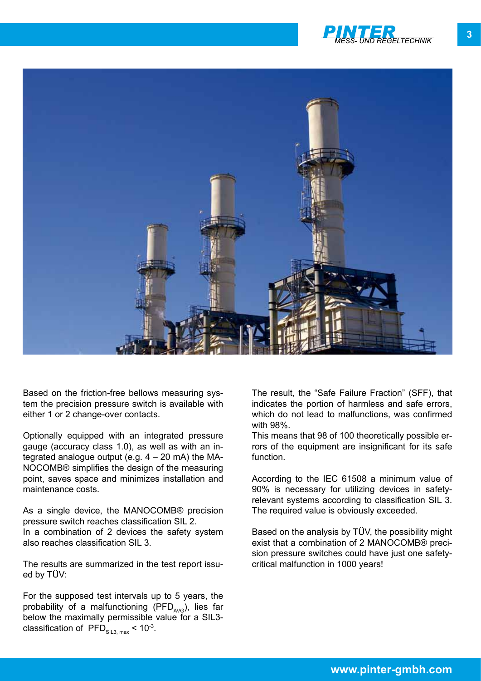



Based on the friction-free bellows measuring system the precision pressure switch is available with either 1 or 2 change-over contacts.

Optionally equipped with an integrated pressure gauge (accuracy class 1.0), as well as with an integrated analogue output (e.g.  $4 - 20$  mA) the MA-NOCOMB® simplifies the design of the measuring point, saves space and minimizes installation and maintenance costs.

As a single device, the MANOCOMB® precision pressure switch reaches classification SIL 2. In a combination of 2 devices the safety system also reaches classification SIL 3.

The results are summarized in the test report issued by TÜV:

For the supposed test intervals up to 5 years, the probability of a malfunctioning (PFD $_{\text{AVG}}$ ), lies far below the maximally permissible value for a SIL3classification of PFD $_{\text{SII}3 \text{ max}}$  < 10<sup>-3</sup>.

The result, the "Safe Failure Fraction" (SFF), that indicates the portion of harmless and safe errors, which do not lead to malfunctions, was confirmed with 98%.

This means that 98 of 100 theoretically possible errors of the equipment are insignificant for its safe function.

According to the IEC 61508 a minimum value of 90% is necessary for utilizing devices in safetyrelevant systems according to classification SIL 3. The required value is obviously exceeded.

Based on the analysis by TÜV, the possibility might exist that a combination of 2 MANOCOMB® precision pressure switches could have just one safetycritical malfunction in 1000 years!